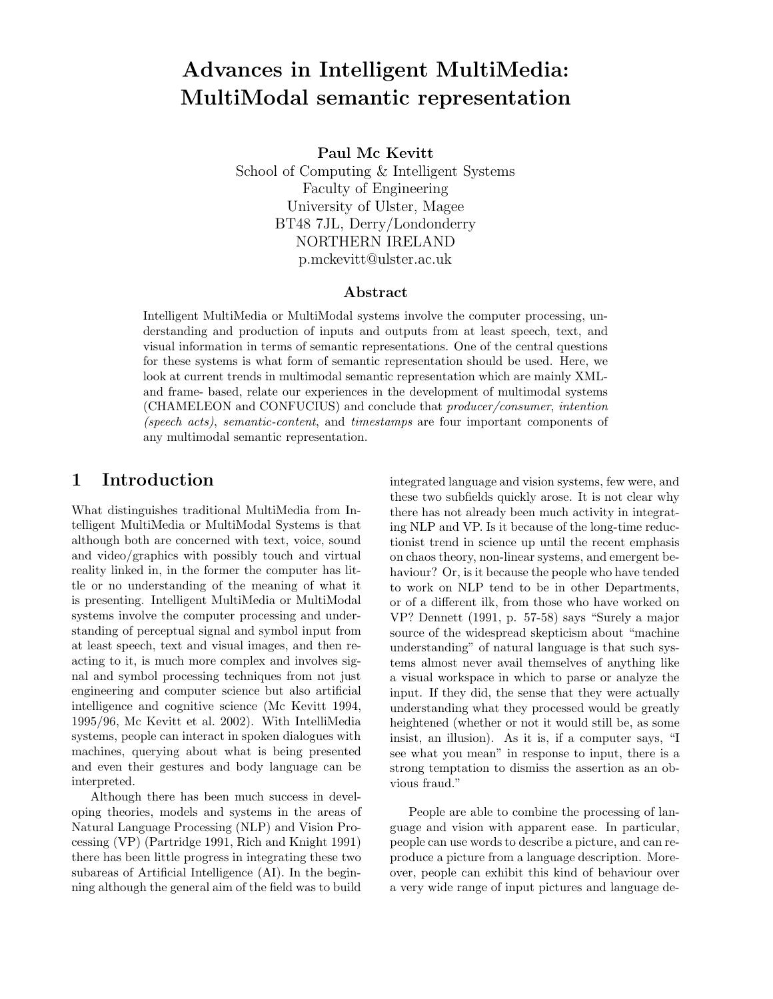# Advances in Intelligent MultiMedia: MultiModal semantic representation

Paul Mc Kevitt

School of Computing & Intelligent Systems Faculty of Engineering University of Ulster, Magee BT48 7JL, Derry/Londonderry NORTHERN IRELAND p.mckevitt@ulster.ac.uk

## Abstract

Intelligent MultiMedia or MultiModal systems involve the computer processing, understanding and production of inputs and outputs from at least speech, text, and visual information in terms of semantic representations. One of the central questions for these systems is what form of semantic representation should be used. Here, we look at current trends in multimodal semantic representation which are mainly XMLand frame- based, relate our experiences in the development of multimodal systems (CHAMELEON and CONFUCIUS) and conclude that producer/consumer, intention (speech acts), semantic-content, and timestamps are four important components of any multimodal semantic representation.

# 1 Introduction

What distinguishes traditional MultiMedia from Intelligent MultiMedia or MultiModal Systems is that although both are concerned with text, voice, sound and video/graphics with possibly touch and virtual reality linked in, in the former the computer has little or no understanding of the meaning of what it is presenting. Intelligent MultiMedia or MultiModal systems involve the computer processing and understanding of perceptual signal and symbol input from at least speech, text and visual images, and then reacting to it, is much more complex and involves signal and symbol processing techniques from not just engineering and computer science but also artificial intelligence and cognitive science (Mc Kevitt 1994, 1995/96, Mc Kevitt et al. 2002). With IntelliMedia systems, people can interact in spoken dialogues with machines, querying about what is being presented and even their gestures and body language can be interpreted.

Although there has been much success in developing theories, models and systems in the areas of Natural Language Processing (NLP) and Vision Processing (VP) (Partridge 1991, Rich and Knight 1991) there has been little progress in integrating these two subareas of Artificial Intelligence (AI). In the beginning although the general aim of the field was to build

integrated language and vision systems, few were, and these two subfields quickly arose. It is not clear why there has not already been much activity in integrating NLP and VP. Is it because of the long-time reductionist trend in science up until the recent emphasis on chaos theory, non-linear systems, and emergent behaviour? Or, is it because the people who have tended to work on NLP tend to be in other Departments, or of a different ilk, from those who have worked on VP? Dennett (1991, p. 57-58) says "Surely a major source of the widespread skepticism about "machine understanding" of natural language is that such systems almost never avail themselves of anything like a visual workspace in which to parse or analyze the input. If they did, the sense that they were actually understanding what they processed would be greatly heightened (whether or not it would still be, as some insist, an illusion). As it is, if a computer says, "I see what you mean" in response to input, there is a strong temptation to dismiss the assertion as an obvious fraud."

People are able to combine the processing of language and vision with apparent ease. In particular, people can use words to describe a picture, and can reproduce a picture from a language description. Moreover, people can exhibit this kind of behaviour over a very wide range of input pictures and language de-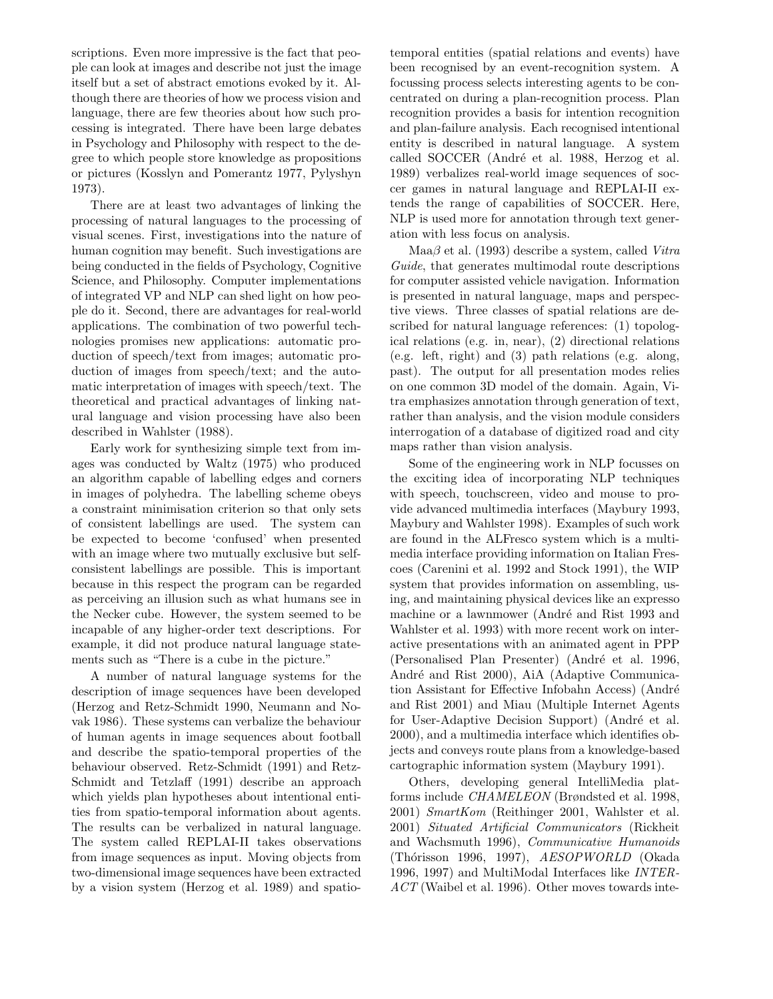scriptions. Even more impressive is the fact that people can look at images and describe not just the image itself but a set of abstract emotions evoked by it. Although there are theories of how we process vision and language, there are few theories about how such processing is integrated. There have been large debates in Psychology and Philosophy with respect to the degree to which people store knowledge as propositions or pictures (Kosslyn and Pomerantz 1977, Pylyshyn 1973).

There are at least two advantages of linking the processing of natural languages to the processing of visual scenes. First, investigations into the nature of human cognition may benefit. Such investigations are being conducted in the fields of Psychology, Cognitive Science, and Philosophy. Computer implementations of integrated VP and NLP can shed light on how people do it. Second, there are advantages for real-world applications. The combination of two powerful technologies promises new applications: automatic production of speech/text from images; automatic production of images from speech/text; and the automatic interpretation of images with speech/text. The theoretical and practical advantages of linking natural language and vision processing have also been described in Wahlster (1988).

Early work for synthesizing simple text from images was conducted by Waltz (1975) who produced an algorithm capable of labelling edges and corners in images of polyhedra. The labelling scheme obeys a constraint minimisation criterion so that only sets of consistent labellings are used. The system can be expected to become 'confused' when presented with an image where two mutually exclusive but selfconsistent labellings are possible. This is important because in this respect the program can be regarded as perceiving an illusion such as what humans see in the Necker cube. However, the system seemed to be incapable of any higher-order text descriptions. For example, it did not produce natural language statements such as "There is a cube in the picture."

A number of natural language systems for the description of image sequences have been developed (Herzog and Retz-Schmidt 1990, Neumann and Novak 1986). These systems can verbalize the behaviour of human agents in image sequences about football and describe the spatio-temporal properties of the behaviour observed. Retz-Schmidt (1991) and Retz-Schmidt and Tetzlaff (1991) describe an approach which yields plan hypotheses about intentional entities from spatio-temporal information about agents. The results can be verbalized in natural language. The system called REPLAI-II takes observations from image sequences as input. Moving objects from two-dimensional image sequences have been extracted by a vision system (Herzog et al. 1989) and spatio-

temporal entities (spatial relations and events) have been recognised by an event-recognition system. A focussing process selects interesting agents to be concentrated on during a plan-recognition process. Plan recognition provides a basis for intention recognition and plan-failure analysis. Each recognised intentional entity is described in natural language. A system called SOCCER (André et al. 1988, Herzog et al. 1989) verbalizes real-world image sequences of soccer games in natural language and REPLAI-II extends the range of capabilities of SOCCER. Here, NLP is used more for annotation through text generation with less focus on analysis.

Maa $\beta$  et al. (1993) describe a system, called Vitra Guide, that generates multimodal route descriptions for computer assisted vehicle navigation. Information is presented in natural language, maps and perspective views. Three classes of spatial relations are described for natural language references: (1) topological relations (e.g. in, near), (2) directional relations (e.g. left, right) and (3) path relations (e.g. along, past). The output for all presentation modes relies on one common 3D model of the domain. Again, Vitra emphasizes annotation through generation of text, rather than analysis, and the vision module considers interrogation of a database of digitized road and city maps rather than vision analysis.

Some of the engineering work in NLP focusses on the exciting idea of incorporating NLP techniques with speech, touchscreen, video and mouse to provide advanced multimedia interfaces (Maybury 1993, Maybury and Wahlster 1998). Examples of such work are found in the ALFresco system which is a multimedia interface providing information on Italian Frescoes (Carenini et al. 1992 and Stock 1991), the WIP system that provides information on assembling, using, and maintaining physical devices like an expresso machine or a lawnmower (André and Rist 1993 and Wahlster et al. 1993) with more recent work on interactive presentations with an animated agent in PPP (Personalised Plan Presenter) (André et al. 1996, André and Rist 2000), AiA (Adaptive Communication Assistant for Effective Infobahn Access) (André and Rist 2001) and Miau (Multiple Internet Agents for User-Adaptive Decision Support) (André et al. 2000), and a multimedia interface which identifies objects and conveys route plans from a knowledge-based cartographic information system (Maybury 1991).

Others, developing general IntelliMedia platforms include CHAMELEON (Brøndsted et al. 1998, 2001) SmartKom (Reithinger 2001, Wahlster et al. 2001) Situated Artificial Communicators (Rickheit and Wachsmuth 1996), Communicative Humanoids (Thórisson 1996, 1997), AESOPWORLD (Okada 1996, 1997) and MultiModal Interfaces like INTER-ACT (Waibel et al. 1996). Other moves towards inte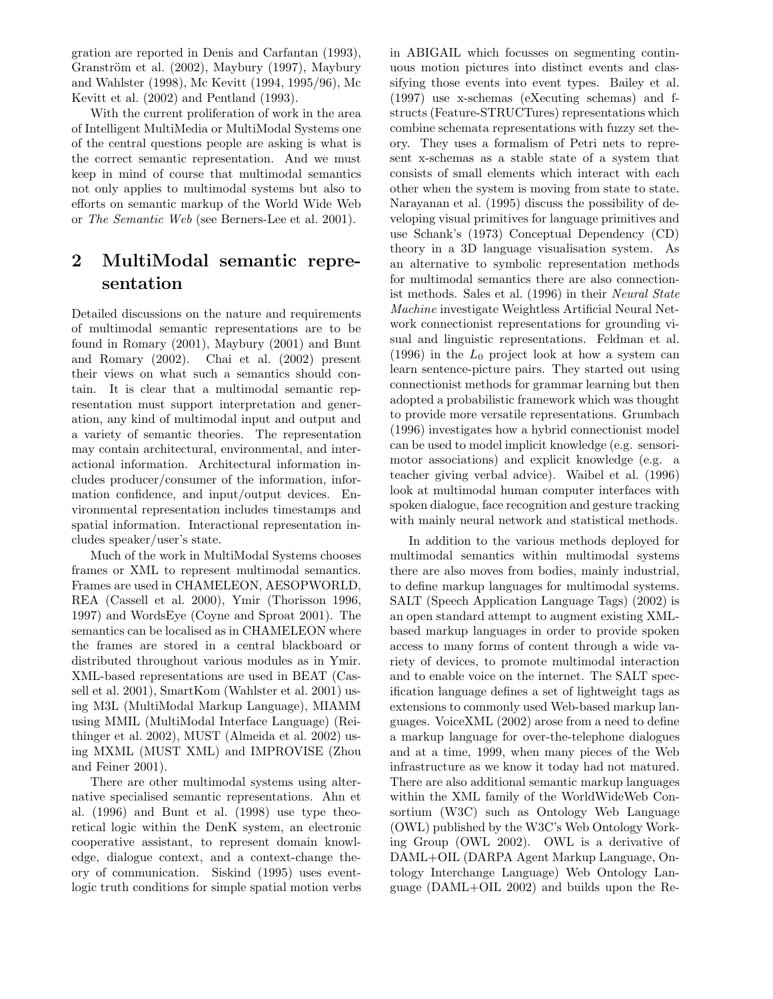gration are reported in Denis and Carfantan (1993), Granström et al. (2002), Maybury (1997), Maybury and Wahlster (1998), Mc Kevitt (1994, 1995/96), Mc Kevitt et al. (2002) and Pentland (1993).

With the current proliferation of work in the area of Intelligent MultiMedia or MultiModal Systems one of the central questions people are asking is what is the correct semantic representation. And we must keep in mind of course that multimodal semantics not only applies to multimodal systems but also to efforts on semantic markup of the World Wide Web or The Semantic Web (see Berners-Lee et al. 2001).

# 2 MultiModal semantic representation

Detailed discussions on the nature and requirements of multimodal semantic representations are to be found in Romary (2001), Maybury (2001) and Bunt and Romary (2002). Chai et al. (2002) present their views on what such a semantics should contain. It is clear that a multimodal semantic representation must support interpretation and generation, any kind of multimodal input and output and a variety of semantic theories. The representation may contain architectural, environmental, and interactional information. Architectural information includes producer/consumer of the information, information confidence, and input/output devices. Environmental representation includes timestamps and spatial information. Interactional representation includes speaker/user's state.

Much of the work in MultiModal Systems chooses frames or XML to represent multimodal semantics. Frames are used in CHAMELEON, AESOPWORLD, REA (Cassell et al. 2000), Ymir (Thorisson 1996, 1997) and WordsEye (Coyne and Sproat 2001). The semantics can be localised as in CHAMELEON where the frames are stored in a central blackboard or distributed throughout various modules as in Ymir. XML-based representations are used in BEAT (Cassell et al. 2001), SmartKom (Wahlster et al. 2001) using M3L (MultiModal Markup Language), MIAMM using MMIL (MultiModal Interface Language) (Reithinger et al. 2002), MUST (Almeida et al. 2002) using MXML (MUST XML) and IMPROVISE (Zhou and Feiner 2001).

There are other multimodal systems using alternative specialised semantic representations. Ahn et al. (1996) and Bunt et al. (1998) use type theoretical logic within the DenK system, an electronic cooperative assistant, to represent domain knowledge, dialogue context, and a context-change theory of communication. Siskind (1995) uses eventlogic truth conditions for simple spatial motion verbs

in ABIGAIL which focusses on segmenting continuous motion pictures into distinct events and classifying those events into event types. Bailey et al. (1997) use x-schemas (eXecuting schemas) and fstructs (Feature-STRUCTures) representations which combine schemata representations with fuzzy set theory. They uses a formalism of Petri nets to represent x-schemas as a stable state of a system that consists of small elements which interact with each other when the system is moving from state to state. Narayanan et al. (1995) discuss the possibility of developing visual primitives for language primitives and use Schank's (1973) Conceptual Dependency (CD) theory in a 3D language visualisation system. As an alternative to symbolic representation methods for multimodal semantics there are also connectionist methods. Sales et al. (1996) in their Neural State Machine investigate Weightless Artificial Neural Network connectionist representations for grounding visual and linguistic representations. Feldman et al. (1996) in the  $L_0$  project look at how a system can learn sentence-picture pairs. They started out using connectionist methods for grammar learning but then adopted a probabilistic framework which was thought to provide more versatile representations. Grumbach (1996) investigates how a hybrid connectionist model can be used to model implicit knowledge (e.g. sensorimotor associations) and explicit knowledge (e.g. a teacher giving verbal advice). Waibel et al. (1996) look at multimodal human computer interfaces with spoken dialogue, face recognition and gesture tracking with mainly neural network and statistical methods.

In addition to the various methods deployed for multimodal semantics within multimodal systems there are also moves from bodies, mainly industrial, to define markup languages for multimodal systems. SALT (Speech Application Language Tags) (2002) is an open standard attempt to augment existing XMLbased markup languages in order to provide spoken access to many forms of content through a wide variety of devices, to promote multimodal interaction and to enable voice on the internet. The SALT specification language defines a set of lightweight tags as extensions to commonly used Web-based markup languages. VoiceXML (2002) arose from a need to define a markup language for over-the-telephone dialogues and at a time, 1999, when many pieces of the Web infrastructure as we know it today had not matured. There are also additional semantic markup languages within the XML family of the WorldWideWeb Consortium (W3C) such as Ontology Web Language (OWL) published by the W3C's Web Ontology Working Group (OWL 2002). OWL is a derivative of DAML+OIL (DARPA Agent Markup Language, Ontology Interchange Language) Web Ontology Language (DAML+OIL 2002) and builds upon the Re-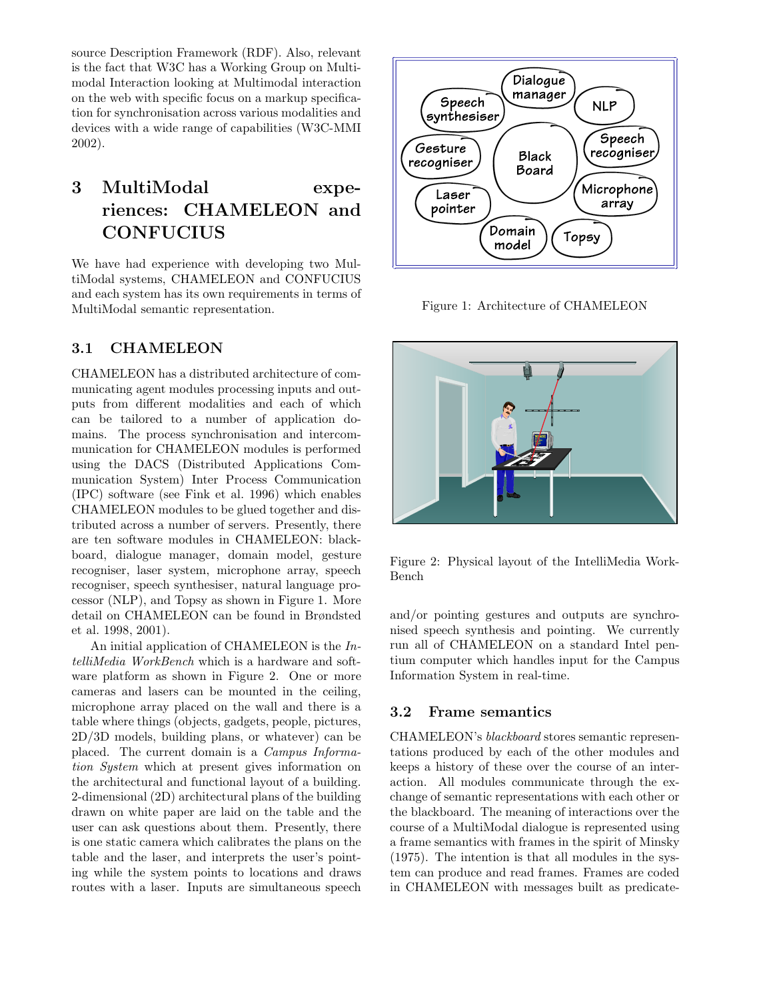source Description Framework (RDF). Also, relevant is the fact that W3C has a Working Group on Multimodal Interaction looking at Multimodal interaction on the web with specific focus on a markup specification for synchronisation across various modalities and devices with a wide range of capabilities (W3C-MMI 2002).

# 3 MultiModal experiences: CHAMELEON and CONFUCIUS

We have had experience with developing two MultiModal systems, CHAMELEON and CONFUCIUS and each system has its own requirements in terms of MultiModal semantic representation.

## 3.1 CHAMELEON

CHAMELEON has a distributed architecture of communicating agent modules processing inputs and outputs from different modalities and each of which can be tailored to a number of application domains. The process synchronisation and intercommunication for CHAMELEON modules is performed using the DACS (Distributed Applications Communication System) Inter Process Communication (IPC) software (see Fink et al. 1996) which enables CHAMELEON modules to be glued together and distributed across a number of servers. Presently, there are ten software modules in CHAMELEON: blackboard, dialogue manager, domain model, gesture recogniser, laser system, microphone array, speech recogniser, speech synthesiser, natural language processor (NLP), and Topsy as shown in Figure 1. More detail on CHAMELEON can be found in Brøndsted et al. 1998, 2001).

An initial application of CHAMELEON is the IntelliMedia WorkBench which is a hardware and software platform as shown in Figure 2. One or more cameras and lasers can be mounted in the ceiling, microphone array placed on the wall and there is a table where things (objects, gadgets, people, pictures, 2D/3D models, building plans, or whatever) can be placed. The current domain is a Campus Information System which at present gives information on the architectural and functional layout of a building. 2-dimensional (2D) architectural plans of the building drawn on white paper are laid on the table and the user can ask questions about them. Presently, there is one static camera which calibrates the plans on the table and the laser, and interprets the user's pointing while the system points to locations and draws routes with a laser. Inputs are simultaneous speech



Figure 1: Architecture of CHAMELEON



Figure 2: Physical layout of the IntelliMedia Work-Bench

and/or pointing gestures and outputs are synchronised speech synthesis and pointing. We currently run all of CHAMELEON on a standard Intel pentium computer which handles input for the Campus Information System in real-time.

## 3.2 Frame semantics

CHAMELEON's blackboard stores semantic representations produced by each of the other modules and keeps a history of these over the course of an interaction. All modules communicate through the exchange of semantic representations with each other or the blackboard. The meaning of interactions over the course of a MultiModal dialogue is represented using a frame semantics with frames in the spirit of Minsky (1975). The intention is that all modules in the system can produce and read frames. Frames are coded in CHAMELEON with messages built as predicate-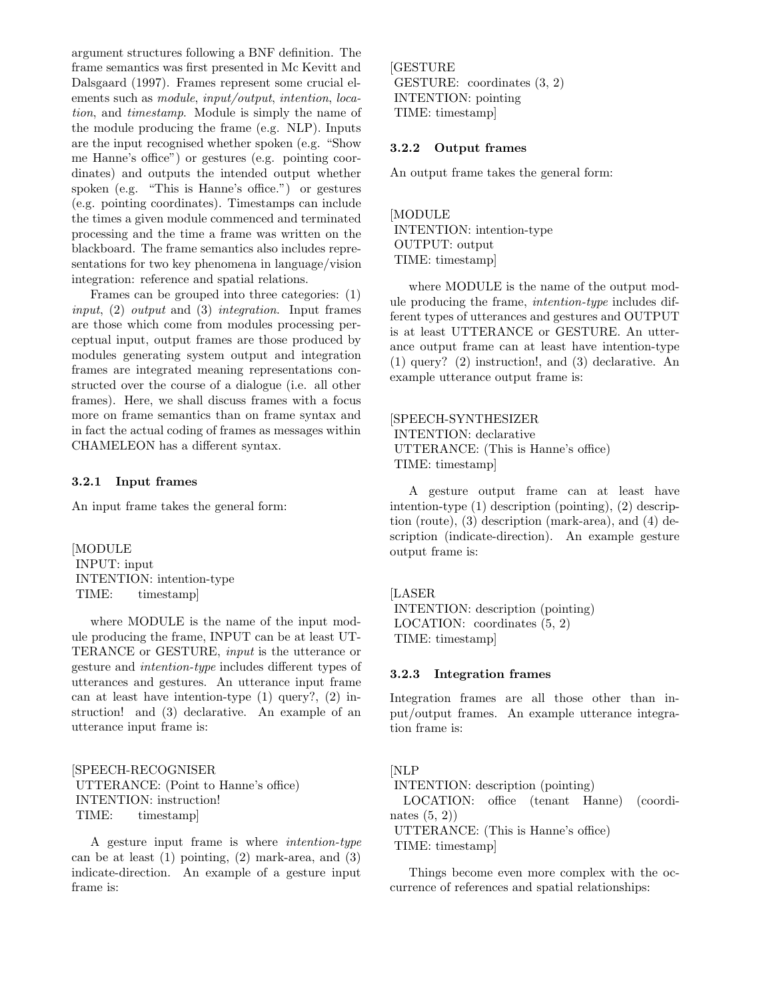argument structures following a BNF definition. The frame semantics was first presented in Mc Kevitt and Dalsgaard (1997). Frames represent some crucial elements such as module, input/output, intention, location, and timestamp. Module is simply the name of the module producing the frame (e.g. NLP). Inputs are the input recognised whether spoken (e.g. "Show me Hanne's office") or gestures (e.g. pointing coordinates) and outputs the intended output whether spoken (e.g. "This is Hanne's office.") or gestures (e.g. pointing coordinates). Timestamps can include the times a given module commenced and terminated processing and the time a frame was written on the blackboard. The frame semantics also includes representations for two key phenomena in language/vision integration: reference and spatial relations.

Frames can be grouped into three categories: (1) input, (2) output and (3) integration. Input frames are those which come from modules processing perceptual input, output frames are those produced by modules generating system output and integration frames are integrated meaning representations constructed over the course of a dialogue (i.e. all other frames). Here, we shall discuss frames with a focus more on frame semantics than on frame syntax and in fact the actual coding of frames as messages within CHAMELEON has a different syntax.

### 3.2.1 Input frames

An input frame takes the general form:

[MODULE INPUT: input INTENTION: intention-type TIME: timestamp]

where MODULE is the name of the input module producing the frame, INPUT can be at least UT-TERANCE or GESTURE, input is the utterance or gesture and intention-type includes different types of utterances and gestures. An utterance input frame can at least have intention-type (1) query?, (2) instruction! and (3) declarative. An example of an utterance input frame is:

[SPEECH-RECOGNISER UTTERANCE: (Point to Hanne's office) INTENTION: instruction! TIME: timestamp]

A gesture input frame is where intention-type can be at least  $(1)$  pointing,  $(2)$  mark-area, and  $(3)$ indicate-direction. An example of a gesture input frame is:

[GESTURE GESTURE: coordinates (3, 2) INTENTION: pointing TIME: timestamp]

## 3.2.2 Output frames

An output frame takes the general form:

[MODULE INTENTION: intention-type OUTPUT: output TIME: timestamp]

where MODULE is the name of the output module producing the frame, intention-type includes different types of utterances and gestures and OUTPUT is at least UTTERANCE or GESTURE. An utterance output frame can at least have intention-type (1) query? (2) instruction!, and (3) declarative. An example utterance output frame is:

### [SPEECH-SYNTHESIZER

INTENTION: declarative UTTERANCE: (This is Hanne's office) TIME: timestamp]

A gesture output frame can at least have intention-type (1) description (pointing), (2) description (route), (3) description (mark-area), and (4) description (indicate-direction). An example gesture output frame is:

#### [LASER

INTENTION: description (pointing) LOCATION: coordinates (5, 2) TIME: timestamp]

#### 3.2.3 Integration frames

Integration frames are all those other than input/output frames. An example utterance integration frame is:

#### [NLP

INTENTION: description (pointing)

LOCATION: office (tenant Hanne) (coordinates  $(5, 2)$ 

UTTERANCE: (This is Hanne's office)

TIME: timestamp]

Things become even more complex with the occurrence of references and spatial relationships: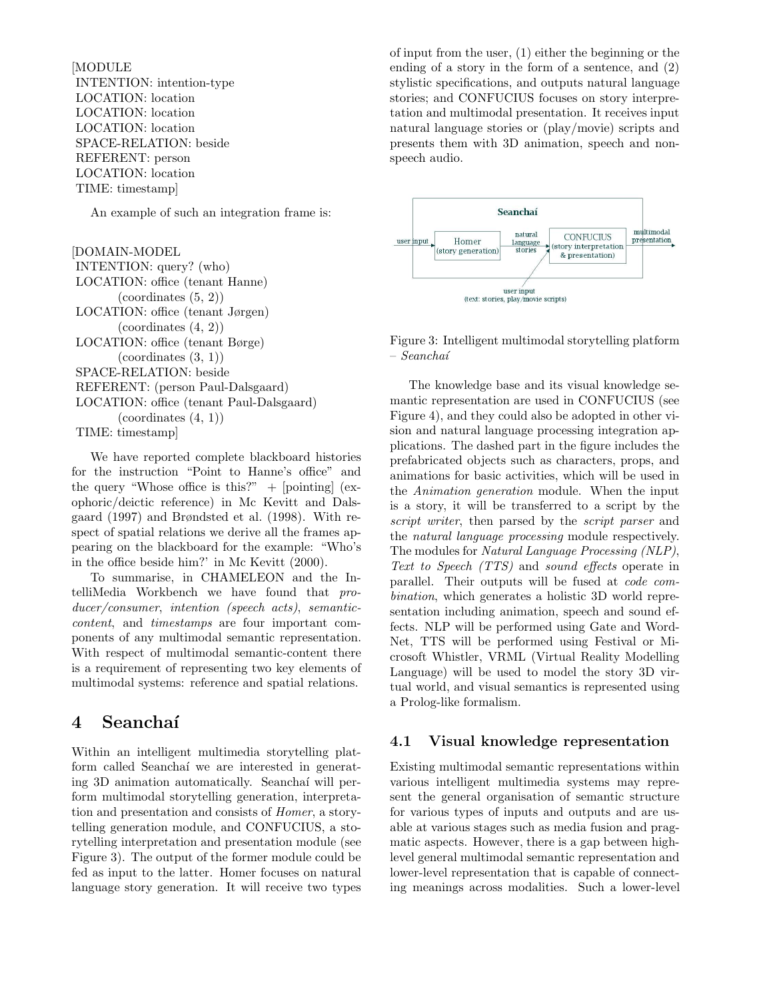[MODULE INTENTION: intention-type LOCATION: location LOCATION: location LOCATION: location SPACE-RELATION: beside REFERENT: person LOCATION: location TIME: timestamp]

An example of such an integration frame is:

[DOMAIN-MODEL INTENTION: query? (who) LOCATION: office (tenant Hanne) (coordinates (5, 2)) LOCATION: office (tenant Jørgen) (coordinates (4, 2)) LOCATION: office (tenant Børge)  $(c$ oordinates  $(3, 1)$ SPACE-RELATION: beside REFERENT: (person Paul-Dalsgaard) LOCATION: office (tenant Paul-Dalsgaard)  $(c$ oordinates  $(4, 1)$ 

TIME: timestamp]

We have reported complete blackboard histories for the instruction "Point to Hanne's office" and the query "Whose office is this?"  $+$  [pointing] (exophoric/deictic reference) in Mc Kevitt and Dalsgaard (1997) and Brøndsted et al. (1998). With respect of spatial relations we derive all the frames appearing on the blackboard for the example: "Who's in the office beside him?' in Mc Kevitt (2000).

To summarise, in CHAMELEON and the IntelliMedia Workbench we have found that producer/consumer, intention (speech acts), semanticcontent, and timestamps are four important components of any multimodal semantic representation. With respect of multimodal semantic-content there is a requirement of representing two key elements of multimodal systems: reference and spatial relations.

# 4 Seanchaí

Within an intelligent multimedia storytelling platform called Seanchaí we are interested in generating 3D animation automatically. Seanchaí will perform multimodal storytelling generation, interpretation and presentation and consists of Homer, a storytelling generation module, and CONFUCIUS, a storytelling interpretation and presentation module (see Figure 3). The output of the former module could be fed as input to the latter. Homer focuses on natural language story generation. It will receive two types

of input from the user, (1) either the beginning or the ending of a story in the form of a sentence, and (2) stylistic specifications, and outputs natural language stories; and CONFUCIUS focuses on story interpretation and multimodal presentation. It receives input natural language stories or (play/movie) scripts and presents them with 3D animation, speech and nonspeech audio.



Figure 3: Intelligent multimodal storytelling platform – Seancha´ı

The knowledge base and its visual knowledge semantic representation are used in CONFUCIUS (see Figure 4), and they could also be adopted in other vision and natural language processing integration applications. The dashed part in the figure includes the prefabricated objects such as characters, props, and animations for basic activities, which will be used in the Animation generation module. When the input is a story, it will be transferred to a script by the script writer, then parsed by the *script parser* and the natural language processing module respectively. The modules for Natural Language Processing (NLP), Text to Speech (TTS) and sound effects operate in parallel. Their outputs will be fused at code combination, which generates a holistic 3D world representation including animation, speech and sound effects. NLP will be performed using Gate and Word-Net, TTS will be performed using Festival or Microsoft Whistler, VRML (Virtual Reality Modelling Language) will be used to model the story 3D virtual world, and visual semantics is represented using a Prolog-like formalism.

## 4.1 Visual knowledge representation

Existing multimodal semantic representations within various intelligent multimedia systems may represent the general organisation of semantic structure for various types of inputs and outputs and are usable at various stages such as media fusion and pragmatic aspects. However, there is a gap between highlevel general multimodal semantic representation and lower-level representation that is capable of connecting meanings across modalities. Such a lower-level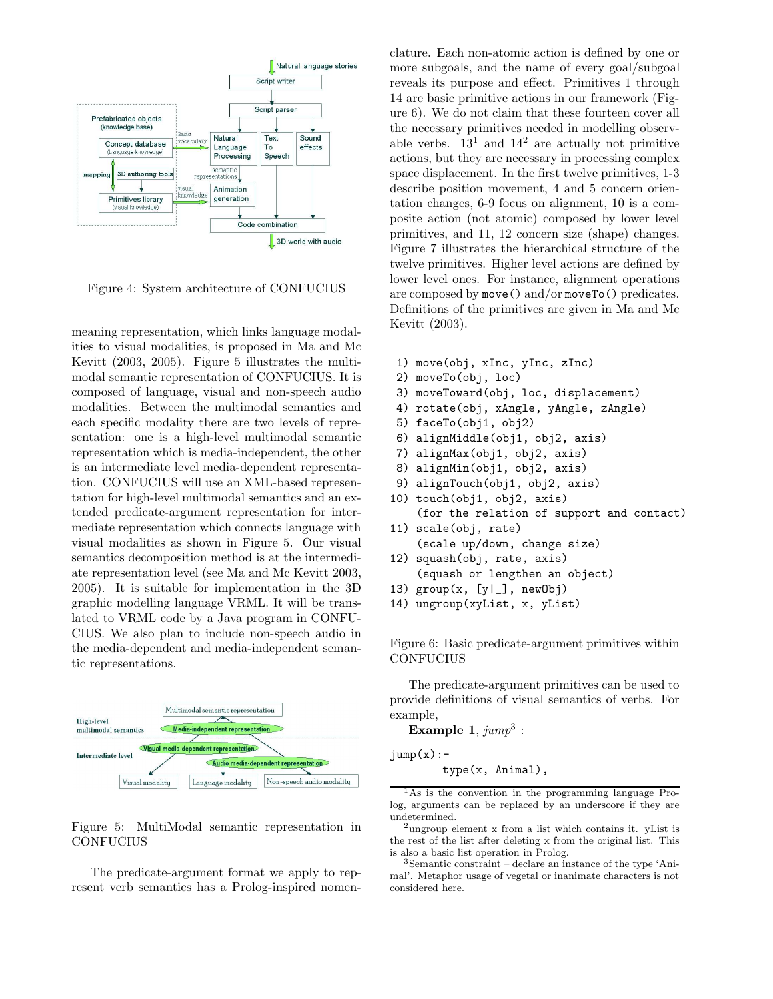

Figure 4: System architecture of CONFUCIUS

meaning representation, which links language modalities to visual modalities, is proposed in Ma and Mc Kevitt (2003, 2005). Figure 5 illustrates the multimodal semantic representation of CONFUCIUS. It is composed of language, visual and non-speech audio modalities. Between the multimodal semantics and each specific modality there are two levels of representation: one is a high-level multimodal semantic representation which is media-independent, the other is an intermediate level media-dependent representation. CONFUCIUS will use an XML-based representation for high-level multimodal semantics and an extended predicate-argument representation for intermediate representation which connects language with visual modalities as shown in Figure 5. Our visual semantics decomposition method is at the intermediate representation level (see Ma and Mc Kevitt 2003, 2005). It is suitable for implementation in the 3D graphic modelling language VRML. It will be translated to VRML code by a Java program in CONFU-CIUS. We also plan to include non-speech audio in the media-dependent and media-independent semantic representations.



## Figure 5: MultiModal semantic representation in CONFUCIUS

The predicate-argument format we apply to represent verb semantics has a Prolog-inspired nomenclature. Each non-atomic action is defined by one or more subgoals, and the name of every goal/subgoal reveals its purpose and effect. Primitives 1 through 14 are basic primitive actions in our framework (Figure 6). We do not claim that these fourteen cover all the necessary primitives needed in modelling observable verbs.  $13<sup>1</sup>$  and  $14<sup>2</sup>$  are actually not primitive actions, but they are necessary in processing complex space displacement. In the first twelve primitives, 1-3 describe position movement, 4 and 5 concern orientation changes, 6-9 focus on alignment, 10 is a composite action (not atomic) composed by lower level primitives, and 11, 12 concern size (shape) changes. Figure 7 illustrates the hierarchical structure of the twelve primitives. Higher level actions are defined by lower level ones. For instance, alignment operations are composed by move() and/or moveTo() predicates. Definitions of the primitives are given in Ma and Mc Kevitt (2003).

- 1) move(obj, xInc, yInc, zInc)
- 2) moveTo(obj, loc)
- 3) moveToward(obj, loc, displacement)
- 4) rotate(obj, xAngle, yAngle, zAngle)
- 5) faceTo(obj1, obj2)
- 6) alignMiddle(obj1, obj2, axis)
- 7) alignMax(obj1, obj2, axis)
- 8) alignMin(obj1, obj2, axis)
- 9) alignTouch(obj1, obj2, axis)
- 10) touch(obj1, obj2, axis) (for the relation of support and contact)
- 11) scale(obj, rate) (scale up/down, change size)
- 12) squash(obj, rate, axis) (squash or lengthen an object)
- 13) group(x, [y|\_], newObj)
- 14) ungroup(xyList, x, yList)

Figure 6: Basic predicate-argument primitives within **CONFUCIUS** 

The predicate-argument primitives can be used to provide definitions of visual semantics of verbs. For example,

```
Example 1, jump^3:
```
 $jump(x):$ 

type(x, Animal),

<sup>&</sup>lt;sup>1</sup>As is the convention in the programming language Prolog, arguments can be replaced by an underscore if they are undetermined.

<sup>&</sup>lt;sup>2</sup>ungroup element x from a list which contains it. yList is the rest of the list after deleting x from the original list. This is also a basic list operation in Prolog.

<sup>3</sup>Semantic constraint – declare an instance of the type 'Animal'. Metaphor usage of vegetal or inanimate characters is not considered here.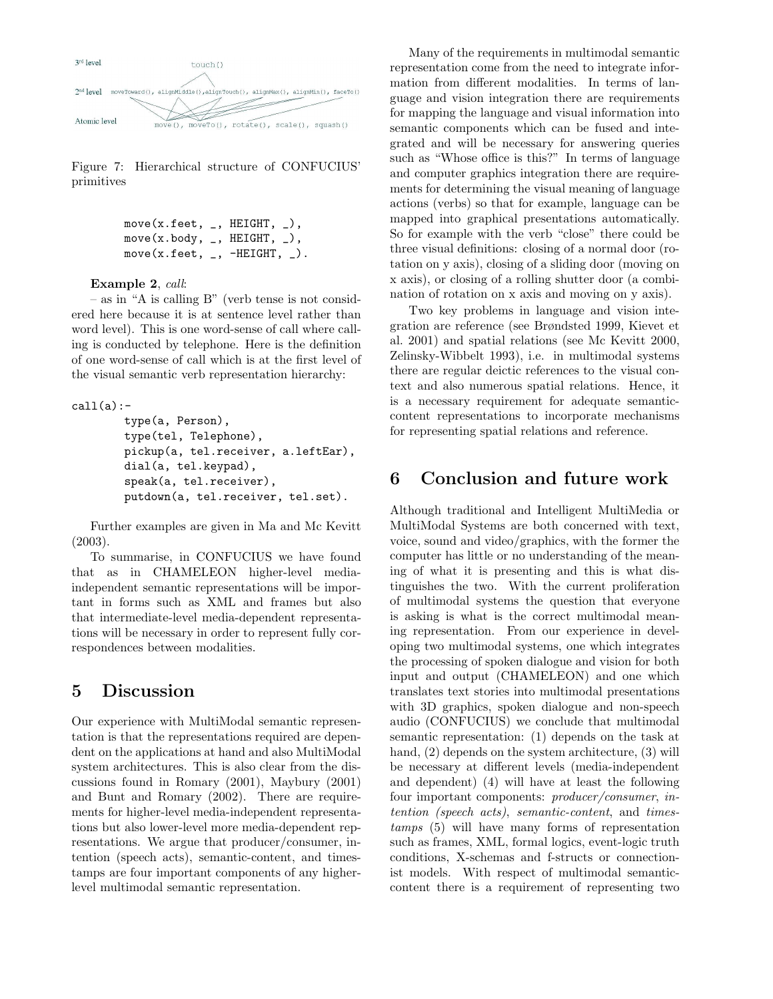

Figure 7: Hierarchical structure of CONFUCIUS' primitives

```
move(x.feet, , HEIGHT, , )move(x.body, -, HEIGHT, -),move(x.feet, _ -, -HEIGHT, _ -).
```
Example 2, call:

– as in "A is calling B" (verb tense is not considered here because it is at sentence level rather than word level). This is one word-sense of call where calling is conducted by telephone. Here is the definition of one word-sense of call which is at the first level of the visual semantic verb representation hierarchy:

```
call(a):
```

```
type(a, Person),
type(tel, Telephone),
pickup(a, tel.receiver, a.leftEar),
dial(a, tel.keypad),
speak(a, tel.receiver),
putdown(a, tel.receiver, tel.set).
```
Further examples are given in Ma and Mc Kevitt (2003).

To summarise, in CONFUCIUS we have found that as in CHAMELEON higher-level mediaindependent semantic representations will be important in forms such as XML and frames but also that intermediate-level media-dependent representations will be necessary in order to represent fully correspondences between modalities.

# 5 Discussion

Our experience with MultiModal semantic representation is that the representations required are dependent on the applications at hand and also MultiModal system architectures. This is also clear from the discussions found in Romary (2001), Maybury (2001) and Bunt and Romary (2002). There are requirements for higher-level media-independent representations but also lower-level more media-dependent representations. We argue that producer/consumer, intention (speech acts), semantic-content, and timestamps are four important components of any higherlevel multimodal semantic representation.

Many of the requirements in multimodal semantic representation come from the need to integrate information from different modalities. In terms of language and vision integration there are requirements for mapping the language and visual information into semantic components which can be fused and integrated and will be necessary for answering queries such as "Whose office is this?" In terms of language and computer graphics integration there are requirements for determining the visual meaning of language actions (verbs) so that for example, language can be mapped into graphical presentations automatically. So for example with the verb "close" there could be three visual definitions: closing of a normal door (rotation on y axis), closing of a sliding door (moving on x axis), or closing of a rolling shutter door (a combination of rotation on x axis and moving on y axis).

Two key problems in language and vision integration are reference (see Brøndsted 1999, Kievet et al. 2001) and spatial relations (see Mc Kevitt 2000, Zelinsky-Wibbelt 1993), i.e. in multimodal systems there are regular deictic references to the visual context and also numerous spatial relations. Hence, it is a necessary requirement for adequate semanticcontent representations to incorporate mechanisms for representing spatial relations and reference.

# 6 Conclusion and future work

Although traditional and Intelligent MultiMedia or MultiModal Systems are both concerned with text, voice, sound and video/graphics, with the former the computer has little or no understanding of the meaning of what it is presenting and this is what distinguishes the two. With the current proliferation of multimodal systems the question that everyone is asking is what is the correct multimodal meaning representation. From our experience in developing two multimodal systems, one which integrates the processing of spoken dialogue and vision for both input and output (CHAMELEON) and one which translates text stories into multimodal presentations with 3D graphics, spoken dialogue and non-speech audio (CONFUCIUS) we conclude that multimodal semantic representation: (1) depends on the task at hand, (2) depends on the system architecture, (3) will be necessary at different levels (media-independent and dependent) (4) will have at least the following four important components: producer/consumer, intention (speech acts), semantic-content, and timestamps (5) will have many forms of representation such as frames, XML, formal logics, event-logic truth conditions, X-schemas and f-structs or connectionist models. With respect of multimodal semanticcontent there is a requirement of representing two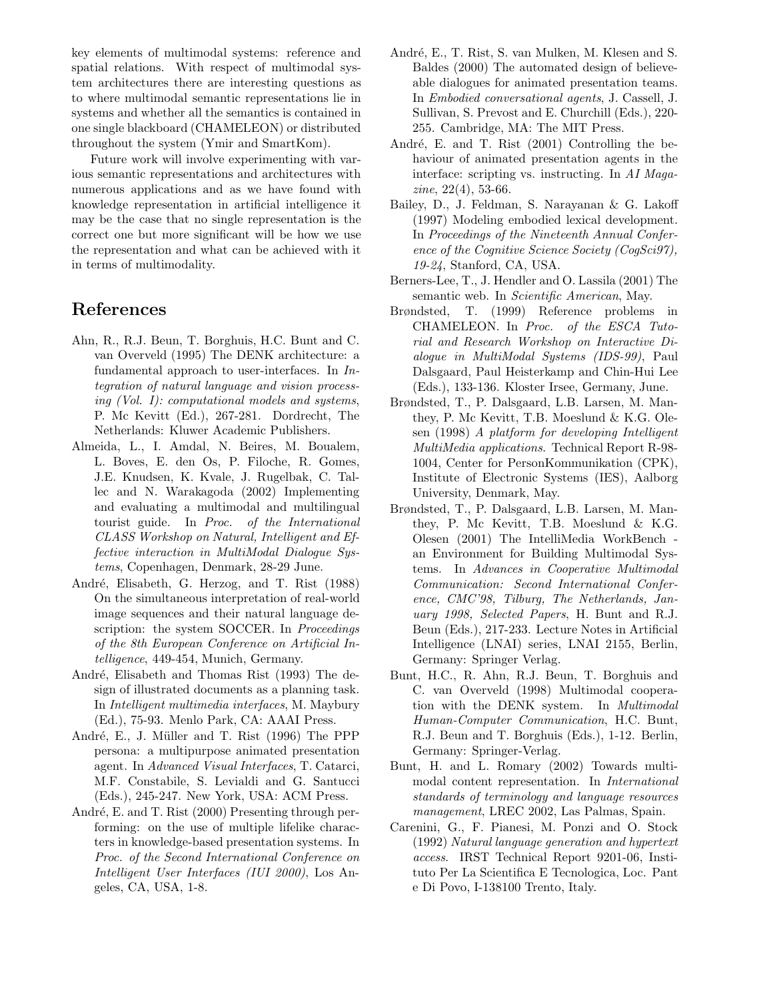key elements of multimodal systems: reference and spatial relations. With respect of multimodal system architectures there are interesting questions as to where multimodal semantic representations lie in systems and whether all the semantics is contained in one single blackboard (CHAMELEON) or distributed throughout the system (Ymir and SmartKom).

Future work will involve experimenting with various semantic representations and architectures with numerous applications and as we have found with knowledge representation in artificial intelligence it may be the case that no single representation is the correct one but more significant will be how we use the representation and what can be achieved with it in terms of multimodality.

# References

- Ahn, R., R.J. Beun, T. Borghuis, H.C. Bunt and C. van Overveld (1995) The DENK architecture: a fundamental approach to user-interfaces. In Integration of natural language and vision processing (Vol. I): computational models and systems, P. Mc Kevitt (Ed.), 267-281. Dordrecht, The Netherlands: Kluwer Academic Publishers.
- Almeida, L., I. Amdal, N. Beires, M. Boualem, L. Boves, E. den Os, P. Filoche, R. Gomes, J.E. Knudsen, K. Kvale, J. Rugelbak, C. Tallec and N. Warakagoda (2002) Implementing and evaluating a multimodal and multilingual tourist guide. In Proc. of the International CLASS Workshop on Natural, Intelligent and Effective interaction in MultiModal Dialogue Systems, Copenhagen, Denmark, 28-29 June.
- André, Elisabeth, G. Herzog, and T. Rist (1988) On the simultaneous interpretation of real-world image sequences and their natural language description: the system SOCCER. In *Proceedings* of the 8th European Conference on Artificial Intelligence, 449-454, Munich, Germany.
- André, Elisabeth and Thomas Rist (1993) The design of illustrated documents as a planning task. In Intelligent multimedia interfaces, M. Maybury (Ed.), 75-93. Menlo Park, CA: AAAI Press.
- André, E., J. Müller and T. Rist (1996) The PPP persona: a multipurpose animated presentation agent. In Advanced Visual Interfaces, T. Catarci, M.F. Constabile, S. Levialdi and G. Santucci (Eds.), 245-247. New York, USA: ACM Press.
- André, E. and T. Rist (2000) Presenting through performing: on the use of multiple lifelike characters in knowledge-based presentation systems. In Proc. of the Second International Conference on Intelligent User Interfaces (IUI 2000), Los Angeles, CA, USA, 1-8.
- André, E., T. Rist, S. van Mulken, M. Klesen and S. Baldes (2000) The automated design of believeable dialogues for animated presentation teams. In Embodied conversational agents, J. Cassell, J. Sullivan, S. Prevost and E. Churchill (Eds.), 220- 255. Cambridge, MA: The MIT Press.
- André, E. and T. Rist  $(2001)$  Controlling the behaviour of animated presentation agents in the interface: scripting vs. instructing. In AI Maga $zine, 22(4), 53-66.$
- Bailey, D., J. Feldman, S. Narayanan & G. Lakoff (1997) Modeling embodied lexical development. In Proceedings of the Nineteenth Annual Conference of the Cognitive Science Society (CogSci97), 19-24, Stanford, CA, USA.
- Berners-Lee, T., J. Hendler and O. Lassila (2001) The semantic web. In *Scientific American*, May.
- Brøndsted, T. (1999) Reference problems in CHAMELEON. In Proc. of the ESCA Tutorial and Research Workshop on Interactive Dialogue in MultiModal Systems (IDS-99), Paul Dalsgaard, Paul Heisterkamp and Chin-Hui Lee (Eds.), 133-136. Kloster Irsee, Germany, June.
- Brøndsted, T., P. Dalsgaard, L.B. Larsen, M. Manthey, P. Mc Kevitt, T.B. Moeslund & K.G. Olesen (1998) A platform for developing Intelligent MultiMedia applications. Technical Report R-98- 1004, Center for PersonKommunikation (CPK), Institute of Electronic Systems (IES), Aalborg University, Denmark, May.
- Brøndsted, T., P. Dalsgaard, L.B. Larsen, M. Manthey, P. Mc Kevitt, T.B. Moeslund & K.G. Olesen (2001) The IntelliMedia WorkBench an Environment for Building Multimodal Systems. In Advances in Cooperative Multimodal Communication: Second International Conference, CMC'98, Tilburg, The Netherlands, January 1998, Selected Papers, H. Bunt and R.J. Beun (Eds.), 217-233. Lecture Notes in Artificial Intelligence (LNAI) series, LNAI 2155, Berlin, Germany: Springer Verlag.
- Bunt, H.C., R. Ahn, R.J. Beun, T. Borghuis and C. van Overveld (1998) Multimodal cooperation with the DENK system. In Multimodal Human-Computer Communication, H.C. Bunt, R.J. Beun and T. Borghuis (Eds.), 1-12. Berlin, Germany: Springer-Verlag.
- Bunt, H. and L. Romary (2002) Towards multimodal content representation. In International standards of terminology and language resources management, LREC 2002, Las Palmas, Spain.
- Carenini, G., F. Pianesi, M. Ponzi and O. Stock (1992) Natural language generation and hypertext access. IRST Technical Report 9201-06, Instituto Per La Scientifica E Tecnologica, Loc. Pant e Di Povo, I-138100 Trento, Italy.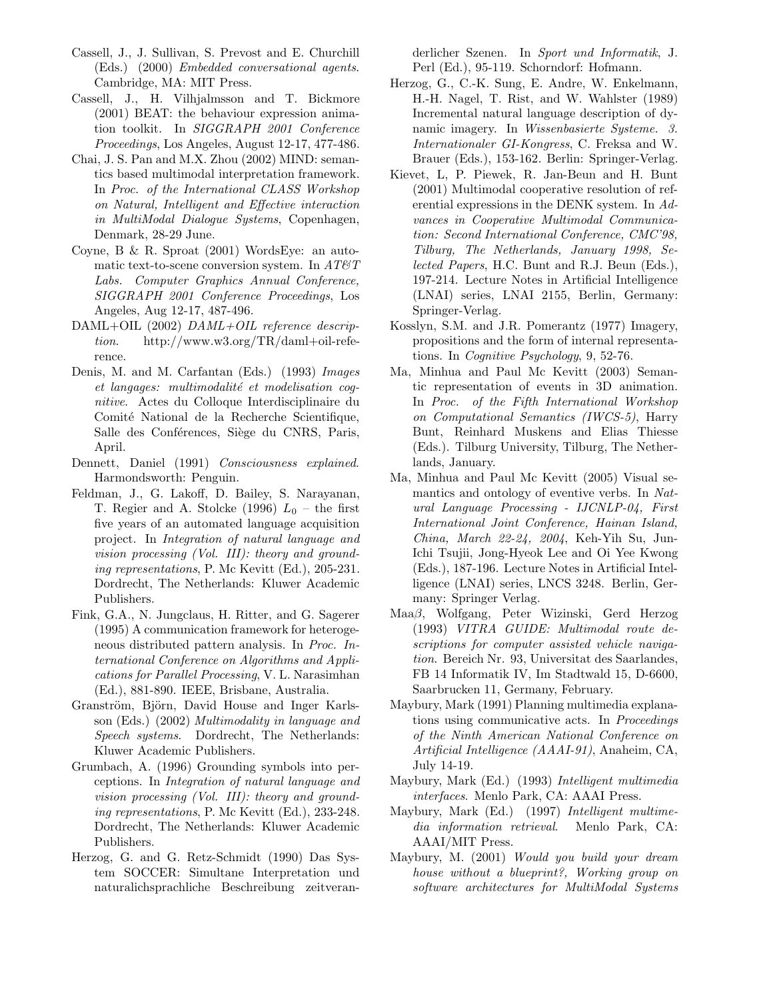- Cassell, J., J. Sullivan, S. Prevost and E. Churchill (Eds.) (2000) Embedded conversational agents. Cambridge, MA: MIT Press.
- Cassell, J., H. Vilhjalmsson and T. Bickmore (2001) BEAT: the behaviour expression animation toolkit. In SIGGRAPH 2001 Conference Proceedings, Los Angeles, August 12-17, 477-486.
- Chai, J. S. Pan and M.X. Zhou (2002) MIND: semantics based multimodal interpretation framework. In Proc. of the International CLASS Workshop on Natural, Intelligent and Effective interaction in MultiModal Dialogue Systems, Copenhagen, Denmark, 28-29 June.
- Coyne, B & R. Sproat (2001) WordsEye: an automatic text-to-scene conversion system. In  $AT \& T$ Labs. Computer Graphics Annual Conference, SIGGRAPH 2001 Conference Proceedings, Los Angeles, Aug 12-17, 487-496.
- DAML+OIL (2002) DAML+OIL reference description. http://www.w3.org/TR/daml+oil-reference.
- Denis, M. and M. Carfantan (Eds.) (1993) Images  $et$  langages: multimodalité et modelisation cognitive. Actes du Colloque Interdisciplinaire du Comité National de la Recherche Scientifique, Salle des Conférences, Siège du CNRS, Paris, April.
- Dennett, Daniel (1991) Consciousness explained. Harmondsworth: Penguin.
- Feldman, J., G. Lakoff, D. Bailey, S. Narayanan, T. Regier and A. Stolcke (1996)  $L_0$  – the first five years of an automated language acquisition project. In Integration of natural language and vision processing (Vol. III): theory and grounding representations, P. Mc Kevitt (Ed.), 205-231. Dordrecht, The Netherlands: Kluwer Academic Publishers.
- Fink, G.A., N. Jungclaus, H. Ritter, and G. Sagerer (1995) A communication framework for heterogeneous distributed pattern analysis. In Proc. International Conference on Algorithms and Applications for Parallel Processing, V. L. Narasimhan (Ed.), 881-890. IEEE, Brisbane, Australia.
- Granström, Björn, David House and Inger Karlsson (Eds.) (2002) Multimodality in language and Speech systems. Dordrecht, The Netherlands: Kluwer Academic Publishers.
- Grumbach, A. (1996) Grounding symbols into perceptions. In Integration of natural language and vision processing (Vol. III): theory and grounding representations, P. Mc Kevitt (Ed.), 233-248. Dordrecht, The Netherlands: Kluwer Academic Publishers.
- Herzog, G. and G. Retz-Schmidt (1990) Das System SOCCER: Simultane Interpretation und naturalichsprachliche Beschreibung zeitveran-

derlicher Szenen. In Sport und Informatik, J. Perl (Ed.), 95-119. Schorndorf: Hofmann.

- Herzog, G., C.-K. Sung, E. Andre, W. Enkelmann, H.-H. Nagel, T. Rist, and W. Wahlster (1989) Incremental natural language description of dynamic imagery. In Wissenbasierte Systeme. 3. Internationaler GI-Kongress, C. Freksa and W. Brauer (Eds.), 153-162. Berlin: Springer-Verlag.
- Kievet, L, P. Piewek, R. Jan-Beun and H. Bunt (2001) Multimodal cooperative resolution of referential expressions in the DENK system. In Advances in Cooperative Multimodal Communication: Second International Conference, CMC'98, Tilburg, The Netherlands, January 1998, Selected Papers, H.C. Bunt and R.J. Beun (Eds.), 197-214. Lecture Notes in Artificial Intelligence (LNAI) series, LNAI 2155, Berlin, Germany: Springer-Verlag.
- Kosslyn, S.M. and J.R. Pomerantz (1977) Imagery, propositions and the form of internal representations. In Cognitive Psychology, 9, 52-76.
- Ma, Minhua and Paul Mc Kevitt (2003) Semantic representation of events in 3D animation. In Proc. of the Fifth International Workshop on Computational Semantics (IWCS-5), Harry Bunt, Reinhard Muskens and Elias Thiesse (Eds.). Tilburg University, Tilburg, The Netherlands, January.
- Ma, Minhua and Paul Mc Kevitt (2005) Visual semantics and ontology of eventive verbs. In Natural Language Processing - IJCNLP-04, First International Joint Conference, Hainan Island, China, March 22-24, 2004, Keh-Yih Su, Jun-Ichi Tsujii, Jong-Hyeok Lee and Oi Yee Kwong (Eds.), 187-196. Lecture Notes in Artificial Intelligence (LNAI) series, LNCS 3248. Berlin, Germany: Springer Verlag.
- Maaβ, Wolfgang, Peter Wizinski, Gerd Herzog (1993) VITRA GUIDE: Multimodal route descriptions for computer assisted vehicle navigation. Bereich Nr. 93, Universitat des Saarlandes, FB 14 Informatik IV, Im Stadtwald 15, D-6600, Saarbrucken 11, Germany, February.
- Maybury, Mark (1991) Planning multimedia explanations using communicative acts. In Proceedings of the Ninth American National Conference on Artificial Intelligence (AAAI-91), Anaheim, CA, July 14-19.
- Maybury, Mark (Ed.) (1993) Intelligent multimedia interfaces. Menlo Park, CA: AAAI Press.
- Maybury, Mark (Ed.) (1997) Intelligent multimedia information retrieval. Menlo Park, CA: AAAI/MIT Press.
- Maybury, M. (2001) Would you build your dream house without a blueprint?, Working group on software architectures for MultiModal Systems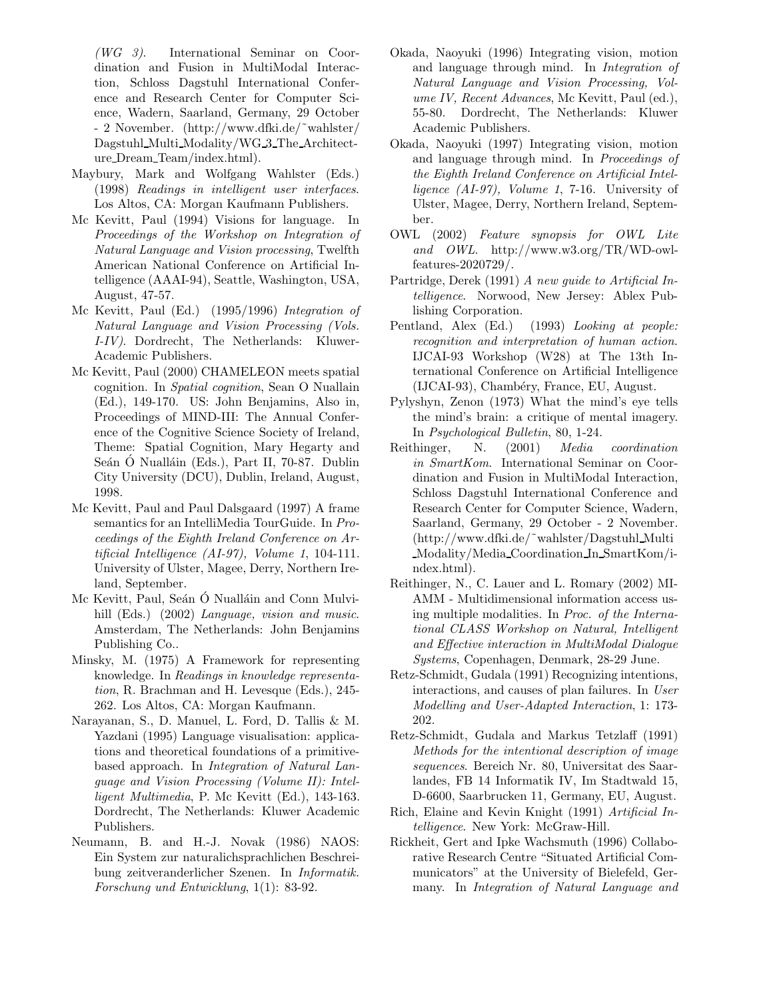(WG 3). International Seminar on Coordination and Fusion in MultiModal Interaction, Schloss Dagstuhl International Conference and Research Center for Computer Science, Wadern, Saarland, Germany, 29 October - 2 November. (http://www.dfki.de/˜wahlster/ Dagstuhl Multi Modality/WG 3 The Architecture Dream Team/index.html).

- Maybury, Mark and Wolfgang Wahlster (Eds.) (1998) Readings in intelligent user interfaces. Los Altos, CA: Morgan Kaufmann Publishers.
- Mc Kevitt, Paul (1994) Visions for language. In Proceedings of the Workshop on Integration of Natural Language and Vision processing, Twelfth American National Conference on Artificial Intelligence (AAAI-94), Seattle, Washington, USA, August, 47-57.
- Mc Kevitt, Paul (Ed.) (1995/1996) Integration of Natural Language and Vision Processing (Vols. I-IV). Dordrecht, The Netherlands: Kluwer-Academic Publishers.
- Mc Kevitt, Paul (2000) CHAMELEON meets spatial cognition. In Spatial cognition, Sean O Nuallain (Ed.), 149-170. US: John Benjamins, Also in, Proceedings of MIND-III: The Annual Conference of the Cognitive Science Society of Ireland, Theme: Spatial Cognition, Mary Hegarty and Seán O Nualláin (Eds.), Part II, 70-87. Dublin City University (DCU), Dublin, Ireland, August, 1998.
- Mc Kevitt, Paul and Paul Dalsgaard (1997) A frame semantics for an IntelliMedia TourGuide. In Proceedings of the Eighth Ireland Conference on Artificial Intelligence (AI-97), Volume 1, 104-111. University of Ulster, Magee, Derry, Northern Ireland, September.
- Mc Kevitt, Paul, Seán Ó Nualláin and Conn Mulvihill (Eds.) (2002) Language, vision and music. Amsterdam, The Netherlands: John Benjamins Publishing Co..
- Minsky, M. (1975) A Framework for representing knowledge. In Readings in knowledge representation, R. Brachman and H. Levesque (Eds.), 245- 262. Los Altos, CA: Morgan Kaufmann.
- Narayanan, S., D. Manuel, L. Ford, D. Tallis & M. Yazdani (1995) Language visualisation: applications and theoretical foundations of a primitivebased approach. In Integration of Natural Language and Vision Processing (Volume II): Intelligent Multimedia, P. Mc Kevitt (Ed.), 143-163. Dordrecht, The Netherlands: Kluwer Academic Publishers.
- Neumann, B. and H.-J. Novak (1986) NAOS: Ein System zur naturalichsprachlichen Beschreibung zeitveranderlicher Szenen. In Informatik. Forschung und Entwicklung, 1(1): 83-92.
- Okada, Naoyuki (1996) Integrating vision, motion and language through mind. In Integration of Natural Language and Vision Processing, Volume IV, Recent Advances, Mc Kevitt, Paul (ed.), 55-80. Dordrecht, The Netherlands: Kluwer Academic Publishers.
- Okada, Naoyuki (1997) Integrating vision, motion and language through mind. In Proceedings of the Eighth Ireland Conference on Artificial Intelligence (AI-97), Volume 1, 7-16. University of Ulster, Magee, Derry, Northern Ireland, September.
- OWL (2002) Feature synopsis for OWL Lite and OWL. http://www.w3.org/TR/WD-owlfeatures-2020729/.
- Partridge, Derek (1991) A new guide to Artificial Intelligence. Norwood, New Jersey: Ablex Publishing Corporation.
- Pentland, Alex (Ed.) (1993) Looking at people: recognition and interpretation of human action. IJCAI-93 Workshop (W28) at The 13th International Conference on Artificial Intelligence (IJCAI-93), Chambéry, France, EU, August.
- Pylyshyn, Zenon (1973) What the mind's eye tells the mind's brain: a critique of mental imagery. In Psychological Bulletin, 80, 1-24.
- Reithinger, N. (2001) Media coordination in SmartKom. International Seminar on Coordination and Fusion in MultiModal Interaction, Schloss Dagstuhl International Conference and Research Center for Computer Science, Wadern, Saarland, Germany, 29 October - 2 November. (http://www.dfki.de/˜wahlster/Dagstuhl Multi Modality/Media Coordination In SmartKom/index.html).
- Reithinger, N., C. Lauer and L. Romary (2002) MI-AMM - Multidimensional information access using multiple modalities. In Proc. of the International CLASS Workshop on Natural, Intelligent and Effective interaction in MultiModal Dialogue Systems, Copenhagen, Denmark, 28-29 June.
- Retz-Schmidt, Gudala (1991) Recognizing intentions, interactions, and causes of plan failures. In User Modelling and User-Adapted Interaction, 1: 173- 202.
- Retz-Schmidt, Gudala and Markus Tetzlaff (1991) Methods for the intentional description of image sequences. Bereich Nr. 80, Universitat des Saarlandes, FB 14 Informatik IV, Im Stadtwald 15, D-6600, Saarbrucken 11, Germany, EU, August.
- Rich, Elaine and Kevin Knight (1991) Artificial Intelligence. New York: McGraw-Hill.
- Rickheit, Gert and Ipke Wachsmuth (1996) Collaborative Research Centre "Situated Artificial Communicators" at the University of Bielefeld, Germany. In Integration of Natural Language and